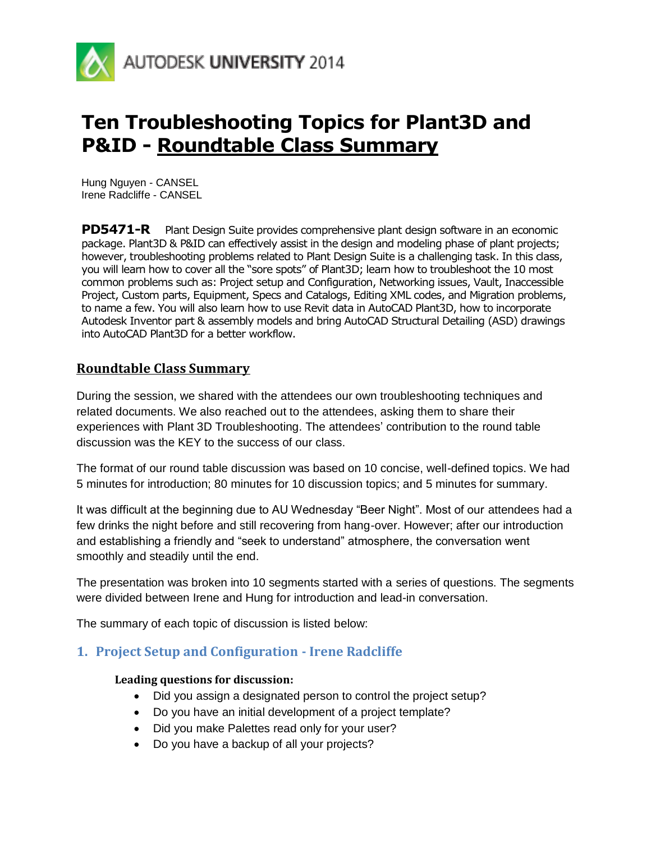

# **Ten Troubleshooting Topics for Plant3D and P&ID - Roundtable Class Summary**

Hung Nguyen - CANSEL Irene Radcliffe - CANSEL

**PD5471-R** Plant Design Suite provides comprehensive plant design software in an economic package. Plant3D & P&ID can effectively assist in the design and modeling phase of plant projects; however, troubleshooting problems related to Plant Design Suite is a challenging task. In this class, you will learn how to cover all the "sore spots" of Plant3D; learn how to troubleshoot the 10 most common problems such as: Project setup and Configuration, Networking issues, Vault, Inaccessible Project, Custom parts, Equipment, Specs and Catalogs, Editing XML codes, and Migration problems, to name a few. You will also learn how to use Revit data in AutoCAD Plant3D, how to incorporate Autodesk Inventor part & assembly models and bring AutoCAD Structural Detailing (ASD) drawings into AutoCAD Plant3D for a better workflow.

# **Roundtable Class Summary**

During the session, we shared with the attendees our own troubleshooting techniques and related documents. We also reached out to the attendees, asking them to share their experiences with Plant 3D Troubleshooting. The attendees' contribution to the round table discussion was the KEY to the success of our class.

The format of our round table discussion was based on 10 concise, well-defined topics. We had 5 minutes for introduction; 80 minutes for 10 discussion topics; and 5 minutes for summary.

It was difficult at the beginning due to AU Wednesday "Beer Night". Most of our attendees had a few drinks the night before and still recovering from hang-over. However; after our introduction and establishing a friendly and "seek to understand" atmosphere, the conversation went smoothly and steadily until the end.

The presentation was broken into 10 segments started with a series of questions. The segments were divided between Irene and Hung for introduction and lead-in conversation.

The summary of each topic of discussion is listed below:

# **1. Project Setup and Configuration - Irene Radcliffe**

#### **Leading questions for discussion:**

- Did you assign a designated person to control the project setup?
- Do you have an initial development of a project template?
- Did you make Palettes read only for your user?
- Do you have a backup of all your projects?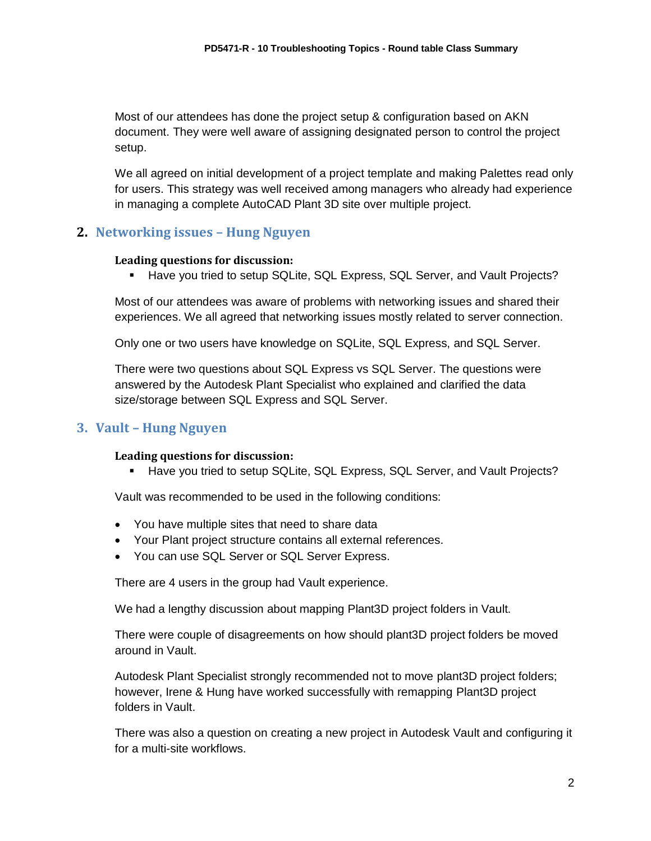Most of our attendees has done the project setup & configuration based on AKN document. They were well aware of assigning designated person to control the project setup.

We all agreed on initial development of a project template and making Palettes read only for users. This strategy was well received among managers who already had experience in managing a complete AutoCAD Plant 3D site over multiple project.

# **2. Networking issues – Hung Nguyen**

## **Leading questions for discussion:**

**Have you tried to setup SQLite, SQL Express, SQL Server, and Vault Projects?** 

Most of our attendees was aware of problems with networking issues and shared their experiences. We all agreed that networking issues mostly related to server connection.

Only one or two users have knowledge on SQLite, SQL Express, and SQL Server.

There were two questions about SQL Express vs SQL Server. The questions were answered by the Autodesk Plant Specialist who explained and clarified the data size/storage between SQL Express and SQL Server.

# **3. Vault – Hung Nguyen**

#### **Leading questions for discussion:**

Have you tried to setup SQLite, SQL Express, SQL Server, and Vault Projects?

Vault was recommended to be used in the following conditions:

- You have multiple sites that need to share data
- Your Plant project structure contains all external references.
- You can use SQL Server or SQL Server Express.

There are 4 users in the group had Vault experience.

We had a lengthy discussion about mapping Plant3D project folders in Vault.

There were couple of disagreements on how should plant3D project folders be moved around in Vault.

Autodesk Plant Specialist strongly recommended not to move plant3D project folders; however, Irene & Hung have worked successfully with remapping Plant3D project folders in Vault.

There was also a question on creating a new project in Autodesk Vault and configuring it for a multi-site workflows.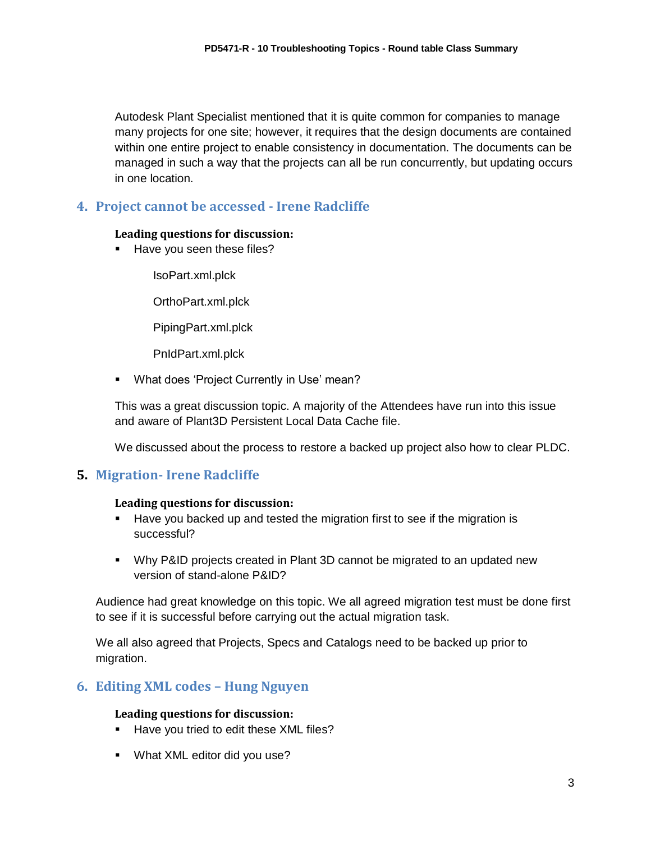Autodesk Plant Specialist mentioned that it is quite common for companies to manage many projects for one site; however, it requires that the design documents are contained within one entire project to enable consistency in documentation. The documents can be managed in such a way that the projects can all be run concurrently, but updating occurs in one location.

# **4. Project cannot be accessed - Irene Radcliffe**

## **Leading questions for discussion:**

Have you seen these files?

IsoPart.xml.plck

OrthoPart.xml.plck

PipingPart.xml.plck

PnIdPart.xml.plck

**• What does 'Project Currently in Use' mean?** 

This was a great discussion topic. A majority of the Attendees have run into this issue and aware of Plant3D Persistent Local Data Cache file.

We discussed about the process to restore a backed up project also how to clear PLDC.

# **5. Migration- Irene Radcliffe**

## **Leading questions for discussion:**

- Have you backed up and tested the migration first to see if the migration is successful?
- Why P&ID projects created in Plant 3D cannot be migrated to an updated new version of stand-alone P&ID?

Audience had great knowledge on this topic. We all agreed migration test must be done first to see if it is successful before carrying out the actual migration task.

We all also agreed that Projects, Specs and Catalogs need to be backed up prior to migration.

# **6. Editing XML codes – Hung Nguyen**

## **Leading questions for discussion:**

- Have you tried to edit these XML files?
- **What XML editor did you use?**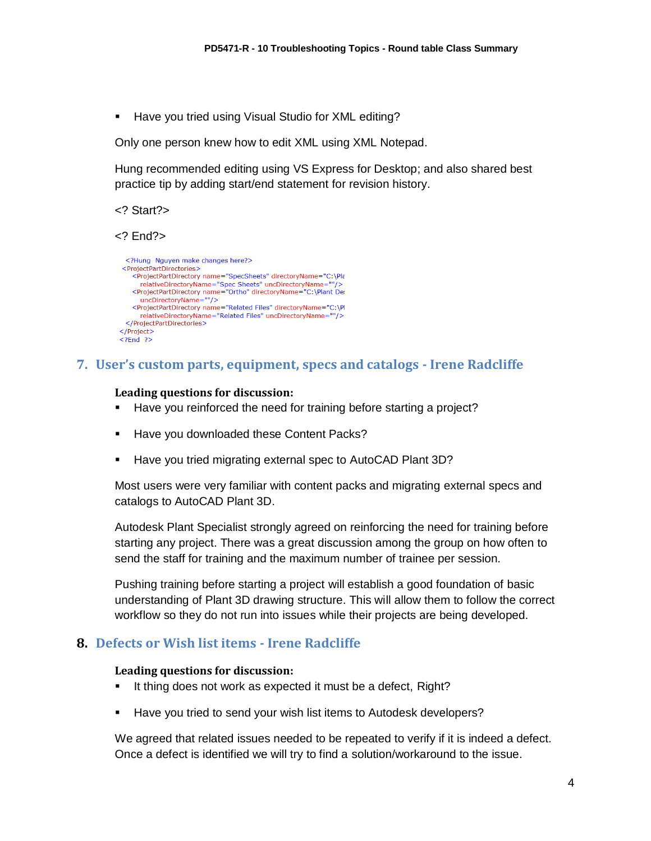**Have you tried using Visual Studio for XML editing?** 

Only one person knew how to edit XML using XML Notepad.

Hung recommended editing using VS Express for Desktop; and also shared best practice tip by adding start/end statement for revision history.

<? Start?>

<? End?>

```
<?Hung Nguyen make changes here?>
 <ProjectPartDirectories>
   <projectPartDirectory_name="SpecSheets"_directoryName="C:\Pla
      relativeDirectoryName="Spec Sheets" uncDirectoryName=
   <ProjectPartDirectory name="Ortho" directoryName="C:\Plant Det>
      uncDirectoryName=""/>
   <ProjectPartDirectory name="Related Files" directoryName="C:\Pl
     relativeDirectoryName="Related Files" uncDirectoryName=""/>
 </ProjectPartDirectories>
</Project>
< 2End 2
```
## **7. User's custom parts, equipment, specs and catalogs - Irene Radcliffe**

#### **Leading questions for discussion:**

- Have you reinforced the need for training before starting a project?
- **Have you downloaded these Content Packs?**
- Have you tried migrating external spec to AutoCAD Plant 3D?

Most users were very familiar with content packs and migrating external specs and catalogs to AutoCAD Plant 3D.

Autodesk Plant Specialist strongly agreed on reinforcing the need for training before starting any project. There was a great discussion among the group on how often to send the staff for training and the maximum number of trainee per session.

Pushing training before starting a project will establish a good foundation of basic understanding of Plant 3D drawing structure. This will allow them to follow the correct workflow so they do not run into issues while their projects are being developed.

## **8. Defects or Wish list items - Irene Radcliffe**

#### **Leading questions for discussion:**

- It thing does not work as expected it must be a defect, Right?
- Have you tried to send your wish list items to Autodesk developers?

We agreed that related issues needed to be repeated to verify if it is indeed a defect. Once a defect is identified we will try to find a solution/workaround to the issue.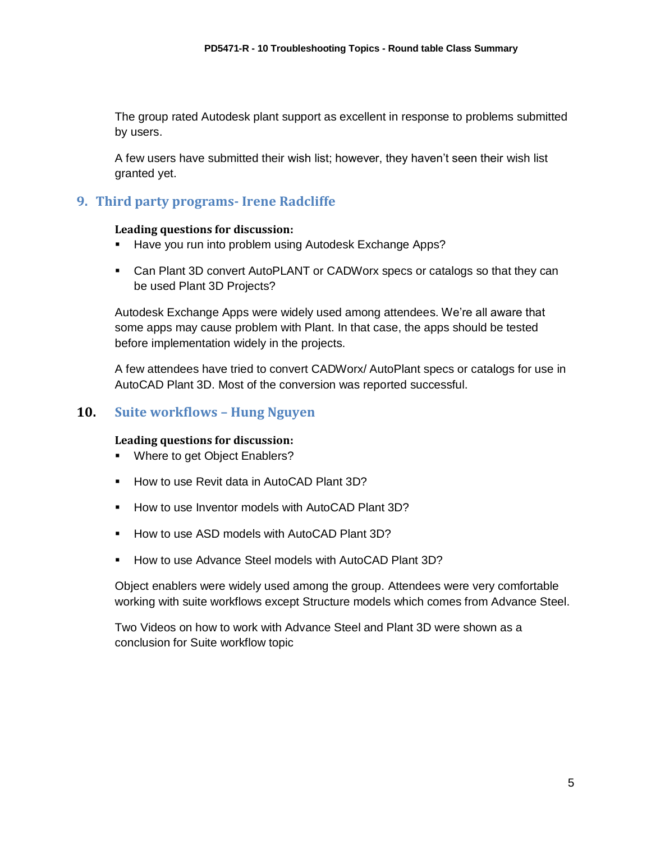The group rated Autodesk plant support as excellent in response to problems submitted by users.

A few users have submitted their wish list; however, they haven't seen their wish list granted yet.

# **9. Third party programs- Irene Radcliffe**

#### **Leading questions for discussion:**

- Have you run into problem using Autodesk Exchange Apps?
- Can Plant 3D convert AutoPLANT or CADWorx specs or catalogs so that they can be used Plant 3D Projects?

Autodesk Exchange Apps were widely used among attendees. We're all aware that some apps may cause problem with Plant. In that case, the apps should be tested before implementation widely in the projects.

A few attendees have tried to convert CADWorx/ AutoPlant specs or catalogs for use in AutoCAD Plant 3D. Most of the conversion was reported successful.

# **10. Suite workflows – Hung Nguyen**

## **Leading questions for discussion:**

- **Where to get Object Enablers?**
- How to use Revit data in AutoCAD Plant 3D?
- **How to use Inventor models with AutoCAD Plant 3D?**
- How to use ASD models with AutoCAD Plant 3D?
- How to use Advance Steel models with AutoCAD Plant 3D?

Object enablers were widely used among the group. Attendees were very comfortable working with suite workflows except Structure models which comes from Advance Steel.

Two Videos on how to work with Advance Steel and Plant 3D were shown as a conclusion for Suite workflow topic